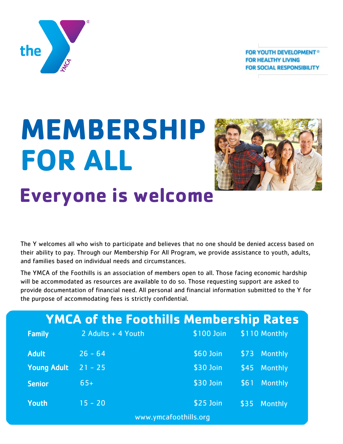**FOR YOUTH DEVELOPMENT<sup>®</sup> FOR HEALTHY LIVING FOR SOCIAL RESPONSIBILITY** 



# **MEMBERSHIP FOR ALL Everyone is welcome**



The Y welcomes all who wish to participate and believes that no one should be denied access based on their ability to pay. Through our Membership For All Program, we provide assistance to youth, adults, and families based on individual needs and circumstances.

The YMCA of the Foothills is an association of members open to all. Those facing economic hardship will be accommodated as resources are available to do so. Those requesting support are asked to provide documentation of financial need. All personal and financial information submitted to the Y for the purpose of accommodating fees is strictly confidential.

| <b>YMCA of the Foothills Membership Rates</b> |                       |            |                        |  |  |
|-----------------------------------------------|-----------------------|------------|------------------------|--|--|
| <b>Family</b>                                 | 2 Adults + 4 Youth    | \$100 Join | \$110 Monthly          |  |  |
| <b>Adult</b>                                  | $26 - 64$             | \$60 Join  | <b>Monthly</b><br>\$73 |  |  |
| <b>Young Adult</b>                            | $21 - 25$             | \$30 Join  | <b>Monthly</b><br>\$45 |  |  |
| <b>Senior</b>                                 | $65+$                 | \$30 Join  | <b>Monthly</b><br>\$61 |  |  |
| <b>Youth</b>                                  | $15 - 20$             | \$25 Join  | \$35<br><b>Monthly</b> |  |  |
|                                               | www.ymcafoothills.org |            |                        |  |  |